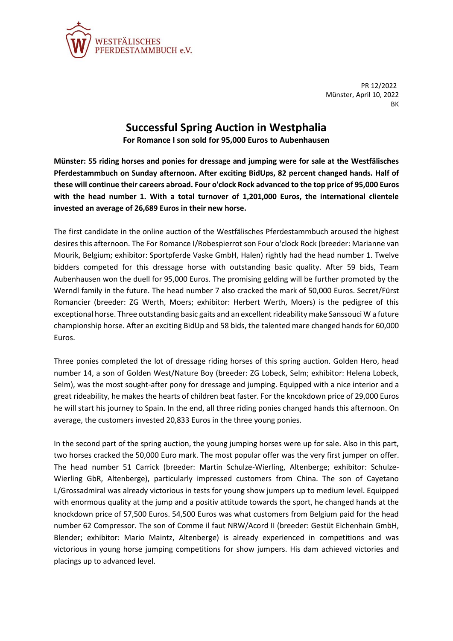

PR 12/2022 Münster, April 10, 2022 **BK** 

## **Successful Spring Auction in Westphalia**

**For Romance I son sold for 95,000 Euros to Aubenhausen**

**Münster: 55 riding horses and ponies for dressage and jumping were for sale at the Westfälisches Pferdestammbuch on Sunday afternoon. After exciting BidUps, 82 percent changed hands. Half of these will continue their careers abroad. Four o'clock Rock advanced to the top price of 95,000 Euros with the head number 1. With a total turnover of 1,201,000 Euros, the international clientele invested an average of 26,689 Euros in their new horse.**

The first candidate in the online auction of the Westfälisches Pferdestammbuch aroused the highest desires this afternoon. The For Romance I/Robespierrot son Four o'clock Rock (breeder: Marianne van Mourik, Belgium; exhibitor: Sportpferde Vaske GmbH, Halen) rightly had the head number 1. Twelve bidders competed for this dressage horse with outstanding basic quality. After 59 bids, Team Aubenhausen won the duell for 95,000 Euros. The promising gelding will be further promoted by the Werndl family in the future. The head number 7 also cracked the mark of 50,000 Euros. Secret/Fürst Romancier (breeder: ZG Werth, Moers; exhibitor: Herbert Werth, Moers) is the pedigree of this exceptional horse. Three outstanding basic gaits and an excellent rideability make Sanssouci W a future championship horse. After an exciting BidUp and 58 bids, the talented mare changed hands for 60,000 Euros.

Three ponies completed the lot of dressage riding horses of this spring auction. Golden Hero, head number 14, a son of Golden West/Nature Boy (breeder: ZG Lobeck, Selm; exhibitor: Helena Lobeck, Selm), was the most sought-after pony for dressage and jumping. Equipped with a nice interior and a great rideability, he makes the hearts of children beat faster. For the kncokdown price of 29,000 Euros he will start his journey to Spain. In the end, all three riding ponies changed hands this afternoon. On average, the customers invested 20,833 Euros in the three young ponies.

In the second part of the spring auction, the young jumping horses were up for sale. Also in this part, two horses cracked the 50,000 Euro mark. The most popular offer was the very first jumper on offer. The head number 51 Carrick (breeder: Martin Schulze-Wierling, Altenberge; exhibitor: Schulze-Wierling GbR, Altenberge), particularly impressed customers from China. The son of Cayetano L/Grossadmiral was already victorious in tests for young show jumpers up to medium level. Equipped with enormous quality at the jump and a positiv attitude towards the sport, he changed hands at the knockdown price of 57,500 Euros. 54,500 Euros was what customers from Belgium paid for the head number 62 Compressor. The son of Comme il faut NRW/Acord II (breeder: Gestüt Eichenhain GmbH, Blender; exhibitor: Mario Maintz, Altenberge) is already experienced in competitions and was victorious in young horse jumping competitions for show jumpers. His dam achieved victories and placings up to advanced level.